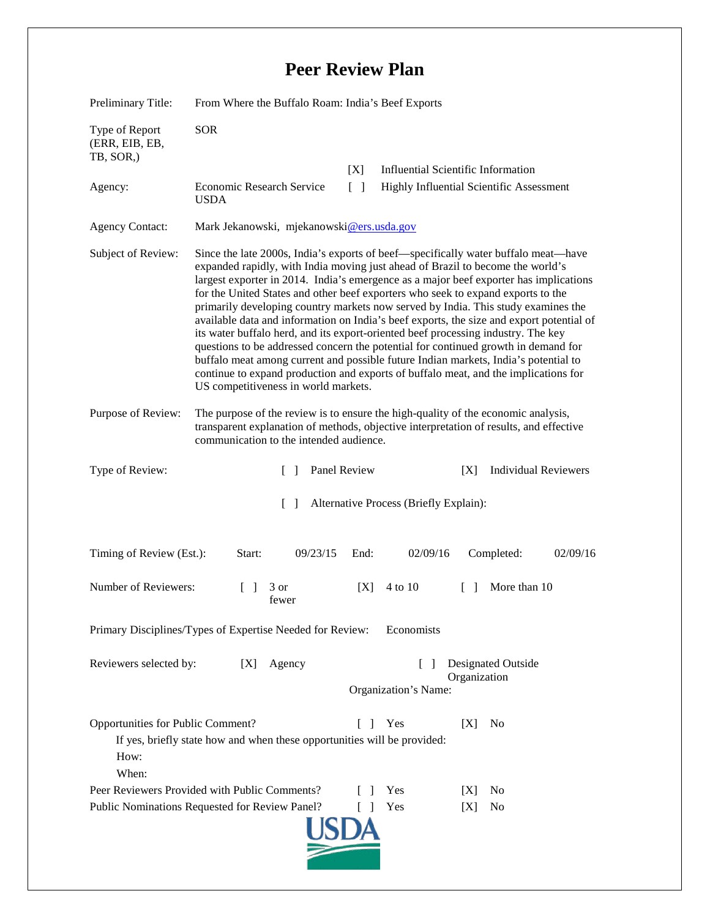## **Peer Review Plan**

| Preliminary Title:                                                                                                                                                       | From Where the Buffalo Roam: India's Beef Exports                                                                                                                                                                                                                                                                                                                                                                                                                                                                                                                                                                                                                                                                                                                                                                                                                                                                                   |                                                            |                                                                                       |        |                             |          |
|--------------------------------------------------------------------------------------------------------------------------------------------------------------------------|-------------------------------------------------------------------------------------------------------------------------------------------------------------------------------------------------------------------------------------------------------------------------------------------------------------------------------------------------------------------------------------------------------------------------------------------------------------------------------------------------------------------------------------------------------------------------------------------------------------------------------------------------------------------------------------------------------------------------------------------------------------------------------------------------------------------------------------------------------------------------------------------------------------------------------------|------------------------------------------------------------|---------------------------------------------------------------------------------------|--------|-----------------------------|----------|
| Type of Report<br>(ERR, EIB, EB,<br>TB, SOR,)                                                                                                                            | <b>SOR</b>                                                                                                                                                                                                                                                                                                                                                                                                                                                                                                                                                                                                                                                                                                                                                                                                                                                                                                                          |                                                            |                                                                                       |        |                             |          |
| Agency:                                                                                                                                                                  | Economic Research Service<br><b>USDA</b>                                                                                                                                                                                                                                                                                                                                                                                                                                                                                                                                                                                                                                                                                                                                                                                                                                                                                            | [X]<br>$\lceil \rceil$                                     | <b>Influential Scientific Information</b><br>Highly Influential Scientific Assessment |        |                             |          |
| <b>Agency Contact:</b>                                                                                                                                                   | Mark Jekanowski, mjekanowski@ers.usda.gov                                                                                                                                                                                                                                                                                                                                                                                                                                                                                                                                                                                                                                                                                                                                                                                                                                                                                           |                                                            |                                                                                       |        |                             |          |
| Subject of Review:                                                                                                                                                       | Since the late 2000s, India's exports of beef—specifically water buffalo meat—have<br>expanded rapidly, with India moving just ahead of Brazil to become the world's<br>largest exporter in 2014. India's emergence as a major beef exporter has implications<br>for the United States and other beef exporters who seek to expand exports to the<br>primarily developing country markets now served by India. This study examines the<br>available data and information on India's beef exports, the size and export potential of<br>its water buffalo herd, and its export-oriented beef processing industry. The key<br>questions to be addressed concern the potential for continued growth in demand for<br>buffalo meat among current and possible future Indian markets, India's potential to<br>continue to expand production and exports of buffalo meat, and the implications for<br>US competitiveness in world markets. |                                                            |                                                                                       |        |                             |          |
| Purpose of Review:                                                                                                                                                       | The purpose of the review is to ensure the high-quality of the economic analysis,<br>transparent explanation of methods, objective interpretation of results, and effective<br>communication to the intended audience.                                                                                                                                                                                                                                                                                                                                                                                                                                                                                                                                                                                                                                                                                                              |                                                            |                                                                                       |        |                             |          |
| Type of Review:                                                                                                                                                          | $\Box$                                                                                                                                                                                                                                                                                                                                                                                                                                                                                                                                                                                                                                                                                                                                                                                                                                                                                                                              | Panel Review                                               |                                                                                       | [X]    | <b>Individual Reviewers</b> |          |
| Alternative Process (Briefly Explain):<br>$\Box$                                                                                                                         |                                                                                                                                                                                                                                                                                                                                                                                                                                                                                                                                                                                                                                                                                                                                                                                                                                                                                                                                     |                                                            |                                                                                       |        |                             |          |
| Timing of Review (Est.):                                                                                                                                                 | 09/23/15<br>Start:                                                                                                                                                                                                                                                                                                                                                                                                                                                                                                                                                                                                                                                                                                                                                                                                                                                                                                                  | End:                                                       | 02/09/16                                                                              |        | Completed:                  | 02/09/16 |
| Number of Reviewers:                                                                                                                                                     | 3 or<br>fewer                                                                                                                                                                                                                                                                                                                                                                                                                                                                                                                                                                                                                                                                                                                                                                                                                                                                                                                       | [X]                                                        | 4 to 10                                                                               | $\Box$ | More than 10                |          |
| Primary Disciplines/Types of Expertise Needed for Review:<br>Economists                                                                                                  |                                                                                                                                                                                                                                                                                                                                                                                                                                                                                                                                                                                                                                                                                                                                                                                                                                                                                                                                     |                                                            |                                                                                       |        |                             |          |
| Reviewers selected by:<br>Agency<br>[X]                                                                                                                                  |                                                                                                                                                                                                                                                                                                                                                                                                                                                                                                                                                                                                                                                                                                                                                                                                                                                                                                                                     | Designated Outside<br>Organization<br>Organization's Name: |                                                                                       |        |                             |          |
| Opportunities for Public Comment?<br>$\Box$<br>Yes<br>[X]<br>N <sub>0</sub><br>If yes, briefly state how and when these opportunities will be provided:<br>How:<br>When: |                                                                                                                                                                                                                                                                                                                                                                                                                                                                                                                                                                                                                                                                                                                                                                                                                                                                                                                                     |                                                            |                                                                                       |        |                             |          |
| Peer Reviewers Provided with Public Comments?                                                                                                                            |                                                                                                                                                                                                                                                                                                                                                                                                                                                                                                                                                                                                                                                                                                                                                                                                                                                                                                                                     |                                                            | Yes                                                                                   | IXI    | N <sub>0</sub>              |          |
| Yes<br>Public Nominations Requested for Review Panel?<br>[X]<br>No<br>$\Box$                                                                                             |                                                                                                                                                                                                                                                                                                                                                                                                                                                                                                                                                                                                                                                                                                                                                                                                                                                                                                                                     |                                                            |                                                                                       |        |                             |          |